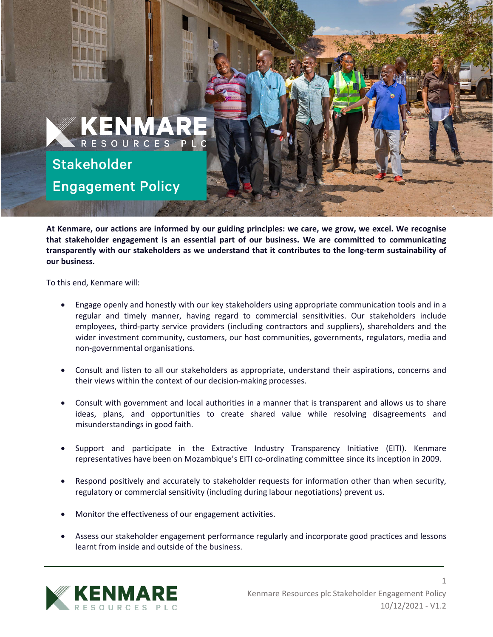

**At Kenmare, our actions are informed by our guiding principles: we care, we grow, we excel. We recognise that stakeholder engagement is an essential part of our business. We are committed to communicating transparently with our stakeholders as we understand that it contributes to the long-term sustainability of our business.**

To this end, Kenmare will:

- Engage openly and honestly with our key stakeholders using appropriate communication tools and in a regular and timely manner, having regard to commercial sensitivities. Our stakeholders include employees, third-party service providers (including contractors and suppliers), shareholders and the wider investment community, customers, our host communities, governments, regulators, media and non-governmental organisations.
- Consult and listen to all our stakeholders as appropriate, understand their aspirations, concerns and their views within the context of our decision-making processes.
- Consult with government and local authorities in a manner that is transparent and allows us to share ideas, plans, and opportunities to create shared value while resolving disagreements and misunderstandings in good faith.
- Support and participate in the Extractive Industry Transparency Initiative (EITI). Kenmare representatives have been on Mozambique's EITI co-ordinating committee since its inception in 2009.
- Respond positively and accurately to stakeholder requests for information other than when security, regulatory or commercial sensitivity (including during labour negotiations) prevent us.
- Monitor the effectiveness of our engagement activities.
- Assess our stakeholder engagement performance regularly and incorporate good practices and lessons learnt from inside and outside of the business.



1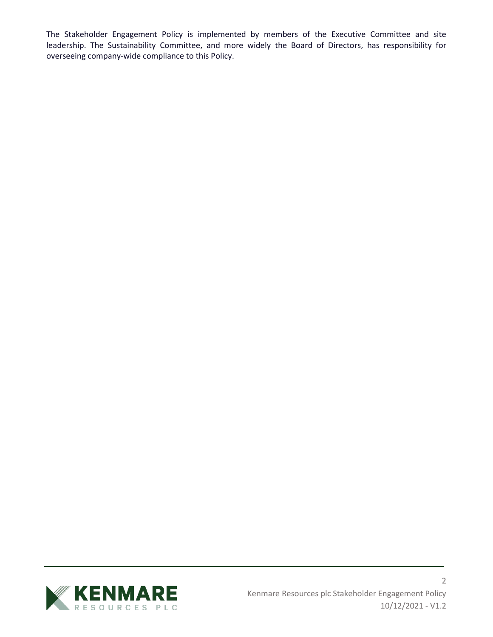The Stakeholder Engagement Policy is implemented by members of the Executive Committee and site leadership. The Sustainability Committee, and more widely the Board of Directors, has responsibility for overseeing company-wide compliance to this Policy.

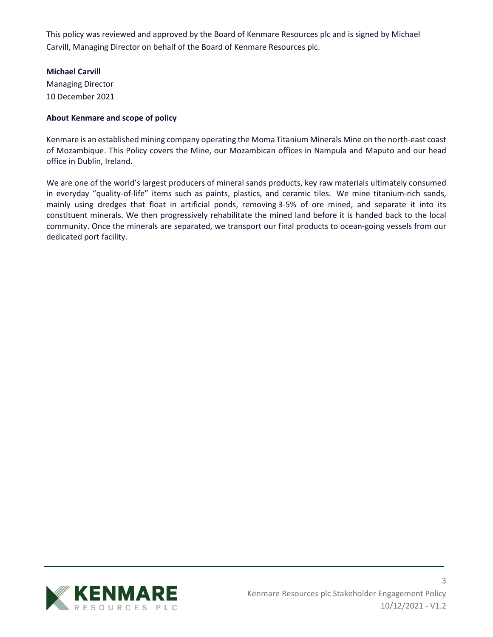This policy was reviewed and approved by the Board of Kenmare Resources plc and is signed by Michael Carvill, Managing Director on behalf of the Board of Kenmare Resources plc.

## **Michael Carvill**

Managing Director 10 December 2021

## **About Kenmare and scope of policy**

Kenmare is an established mining company operating the Moma Titanium Minerals Mine on the north-east coast of Mozambique. This Policy covers the Mine, our Mozambican offices in Nampula and Maputo and our head office in Dublin, Ireland.

We are one of the world's largest producers of mineral sands products, key raw materials ultimately consumed in everyday "quality-of-life" items such as paints, plastics, and ceramic tiles. We mine titanium-rich sands, mainly using dredges that float in artificial ponds, removing 3-5% of ore mined, and separate it into its constituent minerals. We then progressively rehabilitate the mined land before it is handed back to the local community. Once the minerals are separated, we transport our final products to ocean-going vessels from our dedicated port facility.